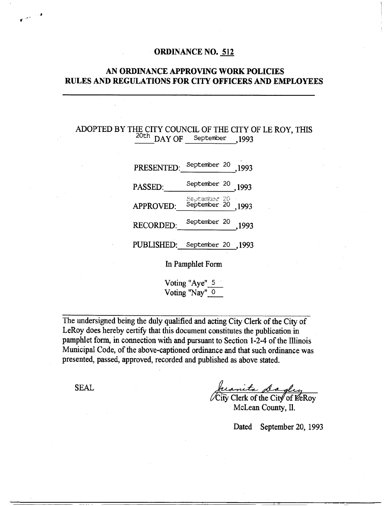#### **ORDINANCE NO. 512**

### **AN ORDINANCE APPROVING WORK POLICIES RULES AND REGULATIONS FOR CITY OFFICERS AND EMPLOYEES**

## ADOPTED BY THE CITY COUNCIL OF THE CITY OF LE ROY, THIS 20th DAY OF September , 1993

| PRESENTED:                    | September 20                 | 1993  |  |  |
|-------------------------------|------------------------------|-------|--|--|
| PASSED:                       | September 20                 | 1993  |  |  |
| <b>APPROVED:</b>              | Seytember 20<br>September 20 | .1993 |  |  |
| <b>RECORDED:</b>              | September 20                 | ,1993 |  |  |
| PUBLISHED: September 20 .1993 |                              |       |  |  |
| In Pamphlet Form              |                              |       |  |  |
| Voting "Aye" 5                |                              |       |  |  |

Voting "Nay" <u>O</u>

The undersigned being the duly qualified and acting City Clerk of the City of LeRoy does hereby certify that this document constitutes the publication in pamphlet form, in connection with and pursuant to Section 1-2-4 of the Illinois Municipal Code, of the above-captioned ordinance and that such ordinance was presented, passed, approved, recorded and published as above stated.

**SEAL** 

**r** 

City Clerk of the **Citf** of LeRoy

McLean County, H.

Dated September 20, 1993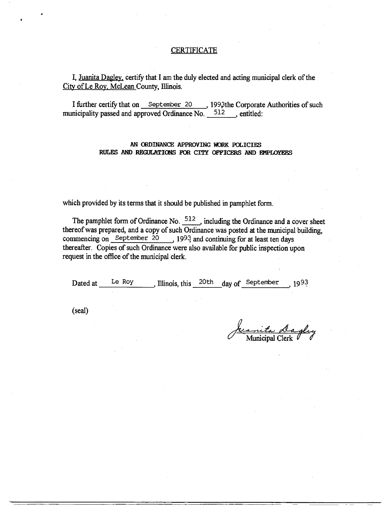#### **CERTIFICATE**

I, Juanita Dagley, certify that I am the duly elected and acting municipal clerk of the City of Le Roy, McLean County, Illinois.

I further certify that on September 20 , 1993 the Corporate Authorities of such municipality passed and approved Ordinance No. 512 , entitled:

#### AN ORDINANCE APPROVING WORK POLICIES RULES AND REGULATIONS FOR CITY OFFICERS AND EMPLOYEES

which provided by its terms that it should be published in pamphlet form.

The pamphlet form of Ordinance No.  $\frac{512}{ }$ , including the Ordinance and a cover sheet thereof was prepared, and a copy of such Ordinance was posted at the municipal building, commencing on September 20 , 1993 and continuing for at least ten days thereafter. Copies of such Ordinance were also available for public inspection upon request in the office of the municipal clerk.

Dated at Le Roy , Illinois, this 20th day of September , 1993

(seal)

<u>anita Dagliy</u>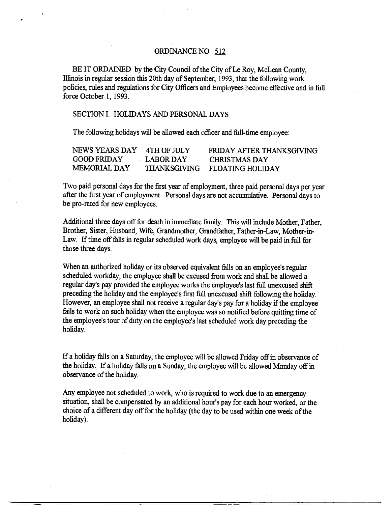#### ORDINANCE NO. 512

BE IT ORDAINED by the City Council of the City of Le Roy, McLean County, Illinois in regular session this 20th day of September, 1993, that the following work policies, rules and regulations for City Officers and Employees become effective and in full force October 1, 1993.

#### SECTION I. HOLIDAYS AND PERSONAL DAYS

The following holidays will be allowed each officer and full-time employee:

| NEWS YEARS DAY 4TH OF JULY |                     | FRIDAY AFTER THANKSGIVING |
|----------------------------|---------------------|---------------------------|
| <b>GOOD FRIDAY</b>         | <b>LABOR DAY</b>    | <b>CHRISTMAS DAY</b>      |
| <b>MEMORIAL DAY</b>        | <b>THANKSGIVING</b> | <b>FLOATING HOLIDAY</b>   |

Two paid personal days for the first year of employment, three paid personal days per year after the first year of employment. Personal days are not accumulative. Personal days to be pro-rated for new employees.

Additional three days off for death in immediate family. This will include Mother, Father, Brother, Sister, Husband, Wife, Grandmother, Grandfather, Father-in-Law, Mother-in-Law. If time off falls in regular scheduled work days, employee will be paid in full for those three days.

When an authorized holiday or its observed equivalent falls on an employee's regular scheduled workday, the employee shall be excused from work and shall be allowed a regular day's pay provided the employee works the employee's last full unexcused shift preceding the holiday and the employee's first full unexcused shift following the holiday. However, an employee shall not receive a regular day's pay for a holiday if the employee fails to work on such holiday when the employee was so notified before quitting time of the employee's tour of duty on the employee's last scheduled work day preceding the holiday.

If a holiday falls on a Saturday, the employee will be allowed Friday off in observance of the holiday. If a holiday falls on a Sunday, the employee will be allowed Monday off in observance of the holiday.

Any employee not scheduled to work, who is required to work due to an emergency situation, shall be compensated by an additional hour's pay for each hour worked, or the choice of a different day off for the holiday (the day to be used within one week of the holiday).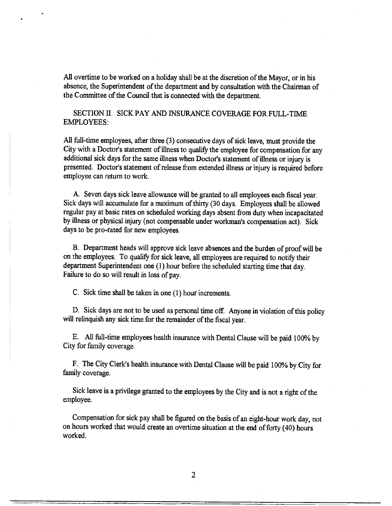All overtime to be worked on a holiday shall be at the discretion of the Mayor, or in his absence, the Superintendent of the department and by consultation with the Chairman of the Committee of the Council that is connected with the department.

#### SECTION H. SICK PAY AND INSURANCE COVERAGE FOR FULL-THAE EMPLOYEES:

All full-time employees, after three (3) consecutive days of sick leave, must provide the City with a Doctor's statement of illness to qualify the employee for compensation for any additional sick days for the same illness when Doctor's statement of illness or injury is presented. Doctor's statement of release from extended illness or injury is required before employee can return to work.

A. Seven days sick leave allowance will be granted to all employees each fiscal year. Sick days will accumulate for a maximum of thirty (30 days. Employees shall be allowed regular pay at basic rates on scheduled working days absent from duty when incapacitated by illness or physical injury (not compensable under workman's compensation act). Sick days to be pro-rated for new employees.

B. Department heads will approve sick leave absences and the burden of proof will be on the employees. To qualify for sick leave, all employees are required to notify their department Superintendent one (1) hour before the scheduled starting time that day. Failure to do so will result in loss of pay.

C. Sick time shall be taken in one (1) hour increments.

D. Sick days are not to be used as personal time off. Anyone in violation of this policy will relinquish any sick time for the remainder of the fiscal year.

E. All full-time employees health insurance with Dental Clause will be paid 100% by City for family coverage.

F. The City Clerk's health insurance with Dental Clause will be paid 100% by City for family coverage.

Sick leave is a privilege granted to the employees by the City and is not a right of the employee.

Compensation for sick pay shall be figured on the basis of an eight-hour work day, not on hours worked that would create an overtime situation at the end of forty (40) hours worked.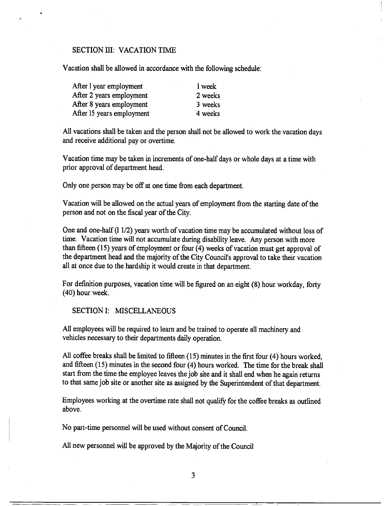#### SECTION III: VACATION TIME

Vacation shall be allowed in accordance with the following schedule:

| After I year employment   |  |
|---------------------------|--|
| After 2 years employment  |  |
| After 8 years employment  |  |
| After 15 years employment |  |

1 week 2 weeks 3 weeks 4 weeks

All vacations shall be taken and the person shall not be allowed to work the vacation days and receive additional pay or overtime.

Vacation time may be taken in increments of one-half days or whole days at a time with prior approval of department head.

Only one person may be off at one time from each department.

Vacation will be allowed on the actual years of employment from the starting date of the person and not on the fiscal year of the City.

One and one-half (11/2) years worth of vacation time may be accumulated without loss of time. Vacation time will not accumulate during disability leave. Any person with more than fifteen (15) years of employment or four (4) weeks of vacation must get approval of the department head and the majority of the City Council's approval to take their vacation all at once due to the hardship it would create in that department.

For definition purposes, vacation time will be figured on an eight (8) hour workday, forty (40) hour week.

#### SECTION I: MISCELLANEOUS

All employees will be required to learn and be trained to operate all machinery and vehicles necessary to their departments daily operation.

All coffee breaks shall be limited to fifteen (15) minutes in the first four (4) hours worked, and fifteen (15) minutes in the second four (4) hours worked. The time for the break shall start from the time the employee leaves the job site and it shall end when he again returns to that same job site or another site as assigned by the Superintendent of that department.

Employees working at the overtime rate shall not qualify for the coffee breaks as outlined above.

No part-time personnel will be used without consent of Council.

All new personnel will be approved by the Majority of the Council

3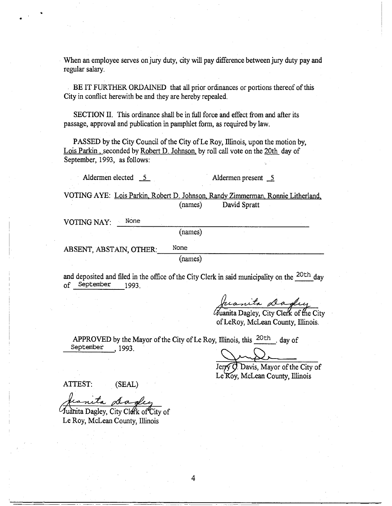When an employee serves on jury duty, city will pay difference between jury duty pay and regular salary.

. BE IT FURTHER ORDAINED that all prior ordinances or portions thereof of this City in conflict herewith be and they are hereby repealed.

SECTION H. This ordinance shall be in full force and effect from and after its passage, approval and publication in pamphlet form, as required by law.

PASSED by the City Council of the City of Le Roy, Illinois, upon the motion by, Lois Parkin, seconded by Robert D. Johnson, by roll call vote on the 20th day of September, 1993, as follows:

Aldermen elected 5 Aldermen present 5

VOTING AYE: Lois Parkin, Robert D. Johnson, Randy Zimmerman, Ronnie Litherland, (names) David Spratt

VOTING NAY: None

(names)

ABSENT, ABSTAIN, OTHER: None

(names)

and deposited and filed in the office of the City Clerk in said municipality on the <sup>20th</sup> day of September 1993.

Juanita Dagley<br>Quanita Dagley, City Clerk of the City

of LeRoy, McLean County, Illinois.

APPROVED by the Mayor of the City of Le Roy, Illinois, this  $^{20th}$  . day of September 1993.

Jerry O. Davis, Mayor of the City of Le Roy, McLean County, Illinois

ATTEST: (SEAL)

franita dagley<br>Juanita Dagley, City Clock of City of

Le Roy, McLean County, Illinois